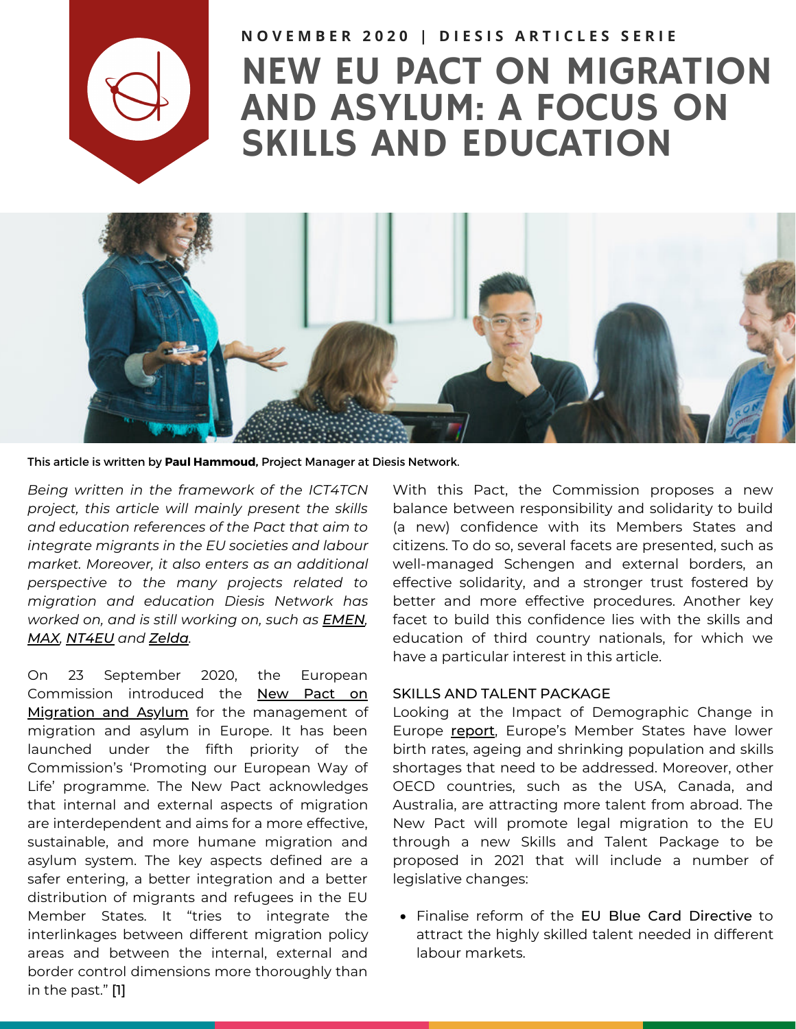

## NEW EU PACT ON MIGRATION AND ASYLUM: A FOCUS ON SKILLS AND EDUCATION NOVEMBER 2020 | DIESIS ARTICLES SERIE



This article is written by **Paul [Hammoud](https://www.diesis.coop/team/paul-hammoud/),** Project Manager at Diesis Network.

*Being written in the framework of the ICT4TCN project, this article will mainly present the skills and education references of the Pact that aim to integrate migrants in the EU societies and labour market. Moreover, it also enters as an additional perspective to the many projects related to migration and education Diesis Network has worked on, and is still working on, such as [EMEN](https://www.emen-project.eu/), [MAX](https://maxamif.eu/), [NT4EU](https://newtalents4eu.eu/) and [Zelda](http://www.diesis.coop/project/zelda-training-for-interculturality/).*

On 23 September 2020, the European Commission introduced the New Pact on Migration and Asylum for the [management](https://ec.europa.eu/info/strategy/priorities-2019-2024/promoting-our-european-way-life/new-pact-migration-and-asylum_en) of migration and asylum in Europe. It has been launched under the fifth priority of the Commission's 'Promoting our European Way of Life' programme. The New Pact acknowledges that internal and external aspects of migration are interdependent and aims for a more effective, sustainable, and more humane migration and asylum system. The key aspects defined are a safer entering, a better integration and a better distribution of migrants and refugees in the EU Member States. It "tries to integrate the interlinkages between different migration policy areas and between the internal, external and border control dimensions more thoroughly than in the past." [1]

With this Pact, the Commission proposes a new balance between responsibility and solidarity to build (a new) confidence with its Members States and citizens. To do so, several facets are presented, such as well-managed Schengen and external borders, an effective solidarity, and a stronger trust fostered by better and more effective procedures. Another key facet to build this confidence lies with the skills and education of third country nationals, for which we have a particular interest in this article.

## SKILLS AND TALENT PACKAGE

Looking at the Impact of Demographic Change in Europe [report](https://ec.europa.eu/info/files/report-impact-demographic-change-reader-friendly-version-0_en), Europe's Member States have lower birth rates, ageing and shrinking population and skills shortages that need to be addressed. Moreover, other OECD countries, such as the USA, Canada, and Australia, are attracting more talent from abroad. The New Pact will promote legal migration to the EU through a new Skills and Talent Package to be proposed in 2021 that will include a number of legislative changes:

Finalise reform of the EU Blue Card Directive to attract the highly skilled talent needed in different labour markets.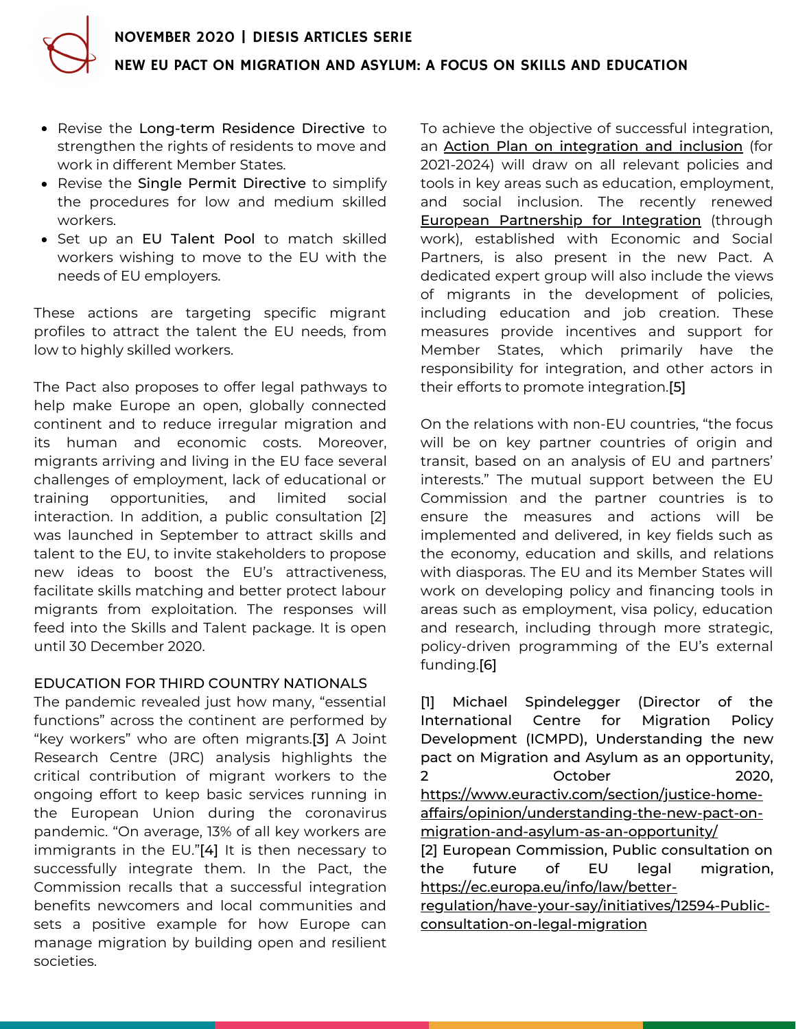- Revise the Long-term Residence Directive to strengthen the rights of residents to move and work in different Member States.
- Revise the Single Permit Directive to simplify the procedures for low and medium skilled workers.
- Set up an EU Talent Pool to match skilled workers wishing to move to the EU with the needs of EU employers.

These actions are targeting specific migrant profiles to attract the talent the EU needs, from low to highly skilled workers.

The Pact also proposes to offer legal pathways to help make Europe an open, globally connected continent and to reduce irregular migration and its human and economic costs. Moreover, migrants arriving and living in the EU face several challenges of employment, lack of educational or training opportunities, and limited social interaction. In addition, a public consultation [2] was launched in September to attract skills and talent to the EU, to invite stakeholders to propose new ideas to boost the EU's attractiveness, facilitate skills matching and better protect labour migrants from exploitation. The responses will feed into the Skills and Talent package. It is open until 30 December 2020.

## EDUCATION FOR THIRD COUNTRY NATIONALS

The pandemic revealed just how many, "essential functions" across the continent are performed by "key workers" who are often migrants.[3] A Joint Research Centre (JRC) analysis highlights the critical contribution of migrant workers to the ongoing effort to keep basic services running in the European Union during the coronavirus pandemic. "On average, 13% of all key workers are immigrants in the EU."[4] It is then necessary to successfully integrate them. In the Pact, the Commission recalls that a successful integration benefits newcomers and local communities and sets a positive example for how Europe can manage migration by building open and resilient societies.

To achieve the objective of successful integration, an Action Plan on [integration](https://ec.europa.eu/migrant-integration/news/new-pact-migration-and-asylum-includes-integration-measures_en) and inclusion (for 2021-2024) will draw on all relevant policies and tools in key areas such as education, employment, and social inclusion. The recently renewed **European [Partnership](https://ec.europa.eu/home-affairs/policies/migration-and-asylum/legal-migration-and-integration/cooperation-economic-and-social-partners/european-partnership-integration_en#:~:text=The%20Partnership%20lays%20down%20key,commitments%20to%20put%20these%20principles) for Integration** (through work), established with Economic and Social Partners, is also present in the new Pact. A dedicated expert group will also include the views of migrants in the development of policies, including education and job creation. These measures provide incentives and support for Member States, which primarily have the responsibility for integration, and other actors in their efforts to promote integration.[5]

On the relations with non-EU countries, "the focus will be on key partner countries of origin and transit, based on an analysis of EU and partners' interests." The mutual support between the EU Commission and the partner countries is to ensure the measures and actions will be implemented and delivered, in key fields such as the economy, education and skills, and relations with diasporas. The EU and its Member States will work on developing policy and financing tools in areas such as employment, visa policy, education and research, including through more strategic, policy-driven programming of the EU's external funding.[6]

[1] Michael Spindelegger (Director of the International Centre for Migration Policy Development (ICMPD), Understanding the new pact on Migration and Asylum as an opportunity, 2 October 2020, https://www.euractiv.com/section/justice-home[affairs/opinion/understanding-the-new-pact-on](https://www.euractiv.com/section/justice-home-affairs/opinion/understanding-the-new-pact-on-migration-and-asylum-as-an-opportunity/)migration-and-asylum-as-an-opportunity/ [2] European Commission, Public consultation on the future of EU legal migration, https://ec.europa.eu/info/law/better[regulation/have-your-say/initiatives/12594-Public](https://ec.europa.eu/info/law/better-regulation/have-your-say/initiatives/12594-Public-consultation-on-legal-migration_pt)consultation-on-legal-migration